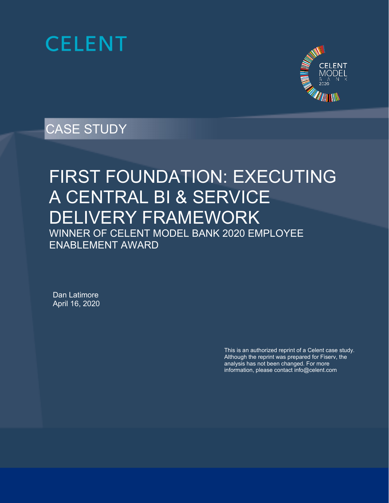



# CASE STUDY

# FIRST FOUNDATION: EXECUTING A CENTRAL BI & SERVICE DELIVERY FRAMEWORK WINNER OF CELENT MODEL BANK 2020 EMPLOYEE ENABLEMENT AWARD

Dan Latimore April 16, 2020

> This is an authorized reprint of a Celent case study. Although the reprint was prepared for Fiserv, the analysis has not been changed. For more information, please contact info@celent.com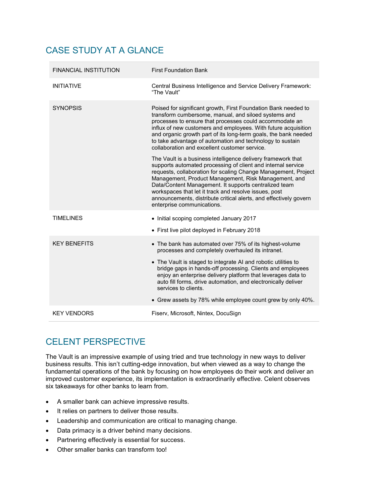# CASE STUDY AT A GLANCE

| <b>FINANCIAL INSTITUTION</b> | <b>First Foundation Bank</b>                                                                                                                                                                                                                                                                                                                                                                                                                                                |
|------------------------------|-----------------------------------------------------------------------------------------------------------------------------------------------------------------------------------------------------------------------------------------------------------------------------------------------------------------------------------------------------------------------------------------------------------------------------------------------------------------------------|
| <b>INITIATIVE</b>            | Central Business Intelligence and Service Delivery Framework:<br>"The Vault"                                                                                                                                                                                                                                                                                                                                                                                                |
| <b>SYNOPSIS</b>              | Poised for significant growth, First Foundation Bank needed to<br>transform cumbersome, manual, and siloed systems and<br>processes to ensure that processes could accommodate an<br>influx of new customers and employees. With future acquisition<br>and organic growth part of its long-term goals, the bank needed<br>to take advantage of automation and technology to sustain<br>collaboration and excellent customer service.                                        |
|                              | The Vault is a business intelligence delivery framework that<br>supports automated processing of client and internal service<br>requests, collaboration for scaling Change Management, Project<br>Management, Product Management, Risk Management, and<br>Data/Content Management. It supports centralized team<br>workspaces that let it track and resolve issues, post<br>announcements, distribute critical alerts, and effectively govern<br>enterprise communications. |
| <b>TIMELINES</b>             | • Initial scoping completed January 2017                                                                                                                                                                                                                                                                                                                                                                                                                                    |
|                              | • First live pilot deployed in February 2018                                                                                                                                                                                                                                                                                                                                                                                                                                |
| <b>KFY BENFFITS</b>          | • The bank has automated over 75% of its highest-volume<br>processes and completely overhauled its intranet.                                                                                                                                                                                                                                                                                                                                                                |
|                              | • The Vault is staged to integrate AI and robotic utilities to<br>bridge gaps in hands-off processing. Clients and employees<br>enjoy an enterprise delivery platform that leverages data to<br>auto fill forms, drive automation, and electronically deliver<br>services to clients.                                                                                                                                                                                       |
|                              | • Grew assets by 78% while employee count grew by only 40%.                                                                                                                                                                                                                                                                                                                                                                                                                 |
| <b>KEY VENDORS</b>           | Fiserv, Microsoft, Nintex, DocuSign                                                                                                                                                                                                                                                                                                                                                                                                                                         |

# CELENT PERSPECTIVE

The Vault is an impressive example of using tried and true technology in new ways to deliver business results. This isn't cutting-edge innovation, but when viewed as a way to change the fundamental operations of the bank by focusing on how employees do their work and deliver an improved customer experience, its implementation is extraordinarily effective. Celent observes six takeaways for other banks to learn from.

- A smaller bank can achieve impressive results.
- It relies on partners to deliver those results.
- Leadership and communication are critical to managing change.
- Data primacy is a driver behind many decisions.
- Partnering effectively is essential for success.
- Other smaller banks can transform too!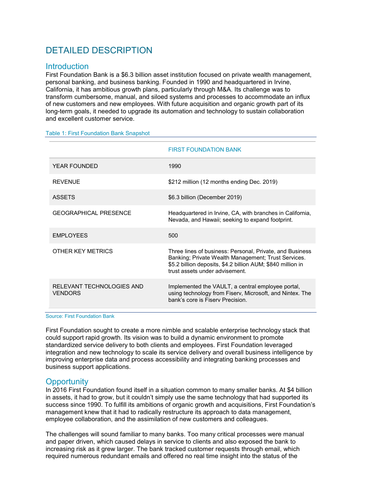# DETAILED DESCRIPTION

# **Introduction**

First Foundation Bank is a \$6.3 billion asset institution focused on private wealth management, personal banking, and business banking. Founded in 1990 and headquartered in Irvine, California, it has ambitious growth plans, particularly through M&A. Its challenge was to transform cumbersome, manual, and siloed systems and processes to accommodate an influx of new customers and new employees. With future acquisition and organic growth part of its long-term goals, it needed to upgrade its automation and technology to sustain collaboration and excellent customer service.

### Table 1: First Foundation Bank Snapshot

|                                             | <b>FIRST FOUNDATION BANK</b>                                                                                                                                                                                     |
|---------------------------------------------|------------------------------------------------------------------------------------------------------------------------------------------------------------------------------------------------------------------|
| <b>YEAR FOUNDED</b>                         | 1990                                                                                                                                                                                                             |
| <b>REVENUE</b>                              | \$212 million (12 months ending Dec. 2019)                                                                                                                                                                       |
| <b>ASSETS</b>                               | \$6.3 billion (December 2019)                                                                                                                                                                                    |
| <b>GEOGRAPHICAL PRESENCE</b>                | Headquartered in Irvine, CA, with branches in California,<br>Nevada, and Hawaii; seeking to expand footprint.                                                                                                    |
| <b>EMPLOYEES</b>                            | 500                                                                                                                                                                                                              |
| OTHER KEY METRICS                           | Three lines of business: Personal, Private, and Business<br>Banking; Private Wealth Management; Trust Services.<br>\$5.2 billion deposits, \$4.2 billion AUM; \$840 million in<br>trust assets under advisement. |
| RELEVANT TECHNOLOGIES AND<br><b>VENDORS</b> | Implemented the VAULT, a central employee portal,<br>using technology from Fiserv, Microsoft, and Nintex. The<br>bank's core is Fisery Precision.                                                                |

Source: First Foundation Bank

First Foundation sought to create a more nimble and scalable enterprise technology stack that could support rapid growth. Its vision was to build a dynamic environment to promote standardized service delivery to both clients and employees. First Foundation leveraged integration and new technology to scale its service delivery and overall business intelligence by improving enterprise data and process accessibility and integrating banking processes and business support applications.

# **Opportunity**

In 2016 First Foundation found itself in a situation common to many smaller banks. At \$4 billion in assets, it had to grow, but it couldn't simply use the same technology that had supported its success since 1990. To fulfill its ambitions of organic growth and acquisitions, First Foundation's management knew that it had to radically restructure its approach to data management, employee collaboration, and the assimilation of new customers and colleagues.

The challenges will sound familiar to many banks. Too many critical processes were manual and paper driven, which caused delays in service to clients and also exposed the bank to increasing risk as it grew larger. The bank tracked customer requests through email, which required numerous redundant emails and offered no real time insight into the status of the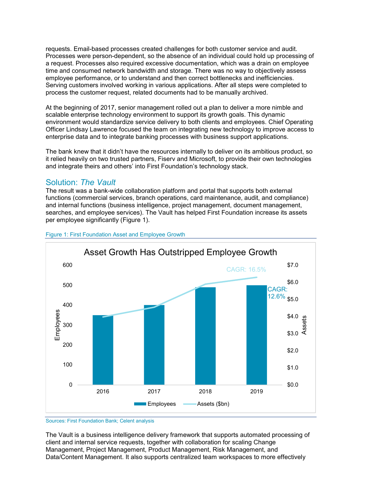requests. Email-based processes created challenges for both customer service and audit. Processes were person-dependent, so the absence of an individual could hold up processing of a request. Processes also required excessive documentation, which was a drain on employee time and consumed network bandwidth and storage. There was no way to objectively assess employee performance, or to understand and then correct bottlenecks and inefficiencies. Serving customers involved working in various applications. After all steps were completed to process the customer request, related documents had to be manually archived.

At the beginning of 2017, senior management rolled out a plan to deliver a more nimble and scalable enterprise technology environment to support its growth goals. This dynamic environment would standardize service delivery to both clients and employees. Chief Operating Officer Lindsay Lawrence focused the team on integrating new technology to improve access to enterprise data and to integrate banking processes with business support applications.

The bank knew that it didn't have the resources internally to deliver on its ambitious product, so it relied heavily on two trusted partners, Fiserv and Microsoft, to provide their own technologies and integrate theirs and others' into First Foundation's technology stack.

# Solution: *The Vault*

The result was a bank-wide collaboration platform and portal that supports both external functions (commercial services, branch operations, card maintenance, audit, and compliance) and internal functions (business intelligence, project management, document management, searches, and employee services). The Vault has helped First Foundation increase its assets per employee significantly [\(Figure 1\)](#page-3-0).



# <span id="page-3-0"></span>Figure 1: First Foundation Asset and Employee Growth

# Sources: First Foundation Bank; Celent analysis

The Vault is a business intelligence delivery framework that supports automated processing of client and internal service requests, together with collaboration for scaling Change Management, Project Management, Product Management, Risk Management, and Data/Content Management. It also supports centralized team workspaces to more effectively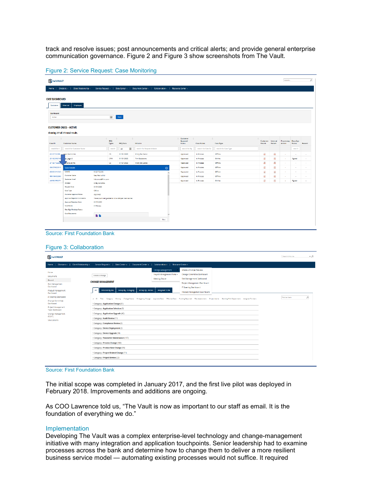track and resolve issues; post announcements and critical alerts; and provide general enterprise communication governance. [Figure 2](#page-4-0) and [Figure 3](#page-4-1) show screenshots from The Vault.

| <b>D</b> the VAULT    |                                                |                                                       |                                      |                                 |                              |                                                                                             |                                                                                                                                                                                                                                                                                                                                                                                                                               |                                          |                      |                                                                                                                                                                                                                                                                                                                                                                                                                                                                                                      |                     | Search                               |               |          |
|-----------------------|------------------------------------------------|-------------------------------------------------------|--------------------------------------|---------------------------------|------------------------------|---------------------------------------------------------------------------------------------|-------------------------------------------------------------------------------------------------------------------------------------------------------------------------------------------------------------------------------------------------------------------------------------------------------------------------------------------------------------------------------------------------------------------------------|------------------------------------------|----------------------|------------------------------------------------------------------------------------------------------------------------------------------------------------------------------------------------------------------------------------------------------------------------------------------------------------------------------------------------------------------------------------------------------------------------------------------------------------------------------------------------------|---------------------|--------------------------------------|---------------|----------|
|                       | Home   Divisions -   Client Relationship -     |                                                       |                                      |                                 |                              | Service Request -   Data Center -   Document Center -   Collaboration -   Resource Center - |                                                                                                                                                                                                                                                                                                                                                                                                                               |                                          |                      |                                                                                                                                                                                                                                                                                                                                                                                                                                                                                                      |                     |                                      |               |          |
| <b>CASE DASHBOARD</b> |                                                |                                                       |                                      |                                 |                              |                                                                                             |                                                                                                                                                                                                                                                                                                                                                                                                                               |                                          |                      |                                                                                                                                                                                                                                                                                                                                                                                                                                                                                                      |                     |                                      |               |          |
| Customer              | Internal<br>Employee                           |                                                       |                                      |                                 |                              |                                                                                             |                                                                                                                                                                                                                                                                                                                                                                                                                               |                                          |                      |                                                                                                                                                                                                                                                                                                                                                                                                                                                                                                      |                     |                                      |               |          |
| Dashboard             |                                                |                                                       |                                      |                                 |                              |                                                                                             |                                                                                                                                                                                                                                                                                                                                                                                                                               |                                          |                      |                                                                                                                                                                                                                                                                                                                                                                                                                                                                                                      |                     |                                      |               |          |
| Active                |                                                |                                                       | $\overline{\mathbf{v}}$              | Show :                          |                              |                                                                                             |                                                                                                                                                                                                                                                                                                                                                                                                                               |                                          |                      |                                                                                                                                                                                                                                                                                                                                                                                                                                                                                                      |                     |                                      |               |          |
|                       | <b>CUSTOMER CASES - ACTIVE</b>                 |                                                       |                                      |                                 |                              |                                                                                             |                                                                                                                                                                                                                                                                                                                                                                                                                               |                                          |                      |                                                                                                                                                                                                                                                                                                                                                                                                                                                                                                      |                     |                                      |               |          |
|                       | Showing 277 of 277 total results.              |                                                       |                                      |                                 |                              |                                                                                             |                                                                                                                                                                                                                                                                                                                                                                                                                               |                                          |                      |                                                                                                                                                                                                                                                                                                                                                                                                                                                                                                      |                     |                                      |               |          |
| $\hat{z}$<br>Case ID  | <b>Customer Name</b>                           | $=$                                                   | $\Rightarrow$<br><b>REQ</b><br>Types | $\hat{u}^{\dagger}$<br>REQ Date | Initiator                    |                                                                                             | Customer<br>$\Rightarrow$<br>$\hat{a}^{\dagger}{}_{\mu\nu}{}^{\mu}{}_{\nu}{}^{\nu}{}_{\nu}{}^{\mu}{}_{\nu}{}^{\nu}{}_{\nu}{}^{\nu}{}_{\nu}{}^{\nu}{}_{\nu}{}^{\nu}{}_{\nu}{}^{\nu}{}_{\nu}{}^{\nu}{}_{\nu}{}^{\nu}{}_{\nu}{}^{\nu}{}_{\nu}{}^{\nu}{}_{\nu}{}^{\nu}{}_{\nu}{}^{\nu}{}_{\nu}{}^{\nu}{}_{\nu}{}^{\nu}{}_{\nu}{}^{\nu}{}_{\nu}{}^{\nu}{}_{\nu}{}^{\nu}{}_{\nu}{}^{\nu}{}_{\nu}{}^{\$<br>Approval<br><b>Status</b> | $\hat{\mathbf{v}}$<br><b>Case Status</b> | Case Type            | $\mathcal{L}_{\mathcal{A}}^{\mathcal{A}}\mathcal{A}_{\mathcal{B}}^{\mathcal{A}}\mathcal{A}_{\mathcal{B}}^{\mathcal{A}}\mathcal{A}_{\mathcal{B}}^{\mathcal{A}}\mathcal{A}_{\mathcal{B}}^{\mathcal{A}}\mathcal{A}_{\mathcal{B}}^{\mathcal{A}}\mathcal{A}_{\mathcal{B}}^{\mathcal{A}}\mathcal{A}_{\mathcal{B}}^{\mathcal{A}}\mathcal{A}_{\mathcal{B}}^{\mathcal{A}}\mathcal{A}_{\mathcal{B}}^{\mathcal{A}}\mathcal{A}_{\mathcal{B}}^{\mathcal{A}}\mathcal{A}_{\mathcal{B$<br>Customer<br><b>Dotails</b> | Internal<br>Decails | <b>Processing DocuSign</b><br>Action | <b>Status</b> | Resend   |
| search for C          | search for Customer Name                       |                                                       | scorch                               | ×<br><b>All</b>                 | search for Request Initiator |                                                                                             | search for Ap                                                                                                                                                                                                                                                                                                                                                                                                                 | search for Case Sta                      | search for Case Type |                                                                                                                                                                                                                                                                                                                                                                                                                                                                                                      |                     |                                      | search        |          |
| 81227722295           | New Patrick Hol                                |                                                       | cs.                                  | 01/31/2020                      | Kristy Do Conso              |                                                                                             | Approved                                                                                                                                                                                                                                                                                                                                                                                                                      | In Frocess                               | <b>Office</b>        | 罩                                                                                                                                                                                                                                                                                                                                                                                                                                                                                                    | 出                   | $\sim$                               | $\sim$        |          |
| 281652192709          | quipates                                       |                                                       | CPM                                  | 01/31/2020                      | Tim Gladstone                |                                                                                             | Approved                                                                                                                                                                                                                                                                                                                                                                                                                      | In Process                               | Online               | 靐                                                                                                                                                                                                                                                                                                                                                                                                                                                                                                    | 靐                   | $\sim$                               | Signed        |          |
| 27192772292           | mellia at the                                  |                                                       | CS.                                  | 01/21/2020                      | Kristy Do Conso              |                                                                                             | Approved                                                                                                                                                                                                                                                                                                                                                                                                                      | In Process                               | Offine               | æ,                                                                                                                                                                                                                                                                                                                                                                                                                                                                                                   | æ.                  | $\sim$                               | $\sim$        |          |
| 336079922510          | <b>Case Details</b>                            |                                                       |                                      |                                 |                              | $\odot$                                                                                     | Approved                                                                                                                                                                                                                                                                                                                                                                                                                      | In Process                               | Office               | 属                                                                                                                                                                                                                                                                                                                                                                                                                                                                                                    | ät,                 | $\sim$                               | $\sim$        | $\sim$   |
| 800952612569          | Case ID                                        | 81227722295                                           |                                      |                                 |                              |                                                                                             | Approved                                                                                                                                                                                                                                                                                                                                                                                                                      | In Process                               | Office               | 黑                                                                                                                                                                                                                                                                                                                                                                                                                                                                                                    | 異                   | $\sim$                               | $\sim$        |          |
| 990156132860          | <b>Customer Name</b><br><b>Customer Email</b>  | New Patrict Holl<br>kdecenso@ff-inc.com               |                                      |                                 |                              |                                                                                             | Approved                                                                                                                                                                                                                                                                                                                                                                                                                      | In Process                               | offine               | H.                                                                                                                                                                                                                                                                                                                                                                                                                                                                                                   | 뵜                   | $\sim$                               | $\sim$        | <b>.</b> |
| 410922992271          | Initiator                                      | Kristy De Censo                                       |                                      |                                 |                              |                                                                                             | Approved                                                                                                                                                                                                                                                                                                                                                                                                                      | In Process                               | Online               | 属                                                                                                                                                                                                                                                                                                                                                                                                                                                                                                    | 囲                   | $\sim$                               | Signed        | $\sim$   |
|                       | <b>Request Date</b>                            | 01/31/2020                                            |                                      |                                 |                              |                                                                                             |                                                                                                                                                                                                                                                                                                                                                                                                                               |                                          |                      |                                                                                                                                                                                                                                                                                                                                                                                                                                                                                                      |                     |                                      |               |          |
|                       | Case Type                                      | Office                                                |                                      |                                 |                              |                                                                                             |                                                                                                                                                                                                                                                                                                                                                                                                                               |                                          |                      |                                                                                                                                                                                                                                                                                                                                                                                                                                                                                                      |                     |                                      |               |          |
|                       | <b>Customer Approval Status</b>                | Approved                                              |                                      |                                 |                              |                                                                                             |                                                                                                                                                                                                                                                                                                                                                                                                                               |                                          |                      |                                                                                                                                                                                                                                                                                                                                                                                                                                                                                                      |                     |                                      |               |          |
|                       | <b>Approval/Rejection Comments</b>             | The account being acided is not a CRB per Allan Gomez |                                      |                                 |                              |                                                                                             |                                                                                                                                                                                                                                                                                                                                                                                                                               |                                          |                      |                                                                                                                                                                                                                                                                                                                                                                                                                                                                                                      |                     |                                      |               |          |
|                       | <b>Approval/Rejection Date</b>                 |                                                       | 01/31/2020                           |                                 |                              |                                                                                             |                                                                                                                                                                                                                                                                                                                                                                                                                               |                                          |                      |                                                                                                                                                                                                                                                                                                                                                                                                                                                                                                      |                     |                                      |               |          |
|                       | <b>Case Status</b><br>DocuSign Envolope Status | In Process                                            |                                      |                                 |                              |                                                                                             |                                                                                                                                                                                                                                                                                                                                                                                                                               |                                          |                      |                                                                                                                                                                                                                                                                                                                                                                                                                                                                                                      |                     |                                      |               |          |
|                       | <b>Case Documents</b>                          |                                                       |                                      |                                 |                              |                                                                                             |                                                                                                                                                                                                                                                                                                                                                                                                                               |                                          |                      |                                                                                                                                                                                                                                                                                                                                                                                                                                                                                                      |                     |                                      |               |          |
|                       |                                                | <b>BB</b>                                             |                                      |                                 |                              |                                                                                             |                                                                                                                                                                                                                                                                                                                                                                                                                               |                                          |                      |                                                                                                                                                                                                                                                                                                                                                                                                                                                                                                      |                     |                                      |               |          |

#### <span id="page-4-0"></span>Figure 2: Service Request: Case Monitoring

#### Source: First Foundation Bank

<span id="page-4-1"></span>

|                                                                                                                                                 | Figure 3: Collaboration                                                                                                                                                                                                                                                                                                                                                                                                                                                                                                                                                                                                                    |                              |
|-------------------------------------------------------------------------------------------------------------------------------------------------|--------------------------------------------------------------------------------------------------------------------------------------------------------------------------------------------------------------------------------------------------------------------------------------------------------------------------------------------------------------------------------------------------------------------------------------------------------------------------------------------------------------------------------------------------------------------------------------------------------------------------------------------|------------------------------|
| <b>DE</b> he VAULT                                                                                                                              |                                                                                                                                                                                                                                                                                                                                                                                                                                                                                                                                                                                                                                            | $\sim$ 0<br>Search this site |
| Home   Divisions -   Client Relationship -                                                                                                      | Service Request =   Data Center =   Document Center =   Collaboration =   Resource Center =                                                                                                                                                                                                                                                                                                                                                                                                                                                                                                                                                |                              |
| Home<br>Documents<br>Recent<br>Risk Management<br>Dashboard<br>Product Management<br>Dashboard                                                  | Create a Change Request<br>Change Management<br>Change Committee Dashboard<br>Project Management Portal -<br>Create a Change<br>Risk Management Dashboard<br><b>Meeting Center</b><br><b>CHANGE MANAGEMENT</b><br>Project Management Dashboard<br>IT Steering Dashboard<br>All<br>Initiated By Me<br>Group By - Category<br>Group By - Status<br><b>Assigned To Me</b><br>Product Management Dashboard                                                                                                                                                                                                                                     |                              |
| IT Steering Dashboard<br>Change Committee<br>Dashboard<br>Project Management<br>Team Dashboard<br>Change Management<br>(FLINT)<br>Site Contents | v ID Title Category Priority Change-Status: Emergency-Change Approval-Date Effective-Date Eunding-Required Risk-Assessment Project-Name Pending/With-Department Assigned-To-Users<br>Category: Application Change (61)<br>Category: Application Selection (9)<br>Category: Application Upgrade (45)<br>> Category: Audit Review(11)<br>> Category: Compliance Review(2)<br>> Category: Device Deployment (2)<br>Category: Device Upgrade (10)<br>> Category: Parameter Maintenance (187)<br>Category: Process Change (109)<br>Category: Product Rate Change (35)<br>Category: Project Related Change (11)<br>Category: Project Review (23) | p<br>Find an Item            |



The initial scope was completed in January 2017, and the first live pilot was deployed in February 2018. Improvements and additions are ongoing.

As COO Lawrence told us, "The Vault is now as important to our staff as email. It is the foundation of everything we do."

# Implementation

Developing The Vault was a complex enterprise-level technology and change-management initiative with many integration and application touchpoints. Senior leadership had to examine processes across the bank and determine how to change them to deliver a more resilient business service model — automating existing processes would not suffice. It required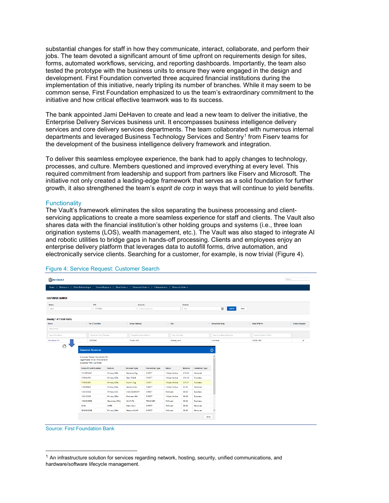substantial changes for staff in how they communicate, interact, collaborate, and perform their jobs. The team devoted a significant amount of time upfront on requirements design for sites, forms, automated workflows, servicing, and reporting dashboards. Importantly, the team also tested the prototype with the business units to ensure they were engaged in the design and development. First Foundation converted three acquired financial institutions during the implementation of this initiative, nearly tripling its number of branches. While it may seem to be common sense, First Foundation emphasized to us the team's extraordinary commitment to the initiative and how critical effective teamwork was to its success.

The bank appointed Jami DeHaven to create and lead a new team to deliver the initiative, the Enterprise Delivery Services business unit. It encompasses business intelligence delivery services and core delivery services departments. The team collaborated with numerous internal departments and leveraged Business Technology Services and Sentry<sup>[1](#page-5-1)</sup> from Fiserv teams for the development of the business intelligence delivery framework and integration.

To deliver this seamless employee experience, the bank had to apply changes to technology, processes, and culture. Members questioned and improved everything at every level. This required commitment from leadership and support from partners like Fiserv and Microsoft. The initiative not only created a leading-edge framework that serves as a solid foundation for further growth, it also strengthened the team's *esprit de corp* in ways that will continue to yield benefits.

#### **Functionality**

The Vault's framework eliminates the silos separating the business processing and clientservicing applications to create a more seamless experience for staff and clients. The Vault also shares data with the financial institution's other holding groups and systems (i.e., three loan origination systems (LOS), wealth management, etc.). The Vault was also staged to integrate AI and robotic utilities to bridge gaps in hands-off processing. Clients and employees enjoy an enterprise delivery platform that leverages data to autofill forms, drive automation, and electronically service clients. Searching for a customer, for example, is now trivial [\(Figure 4\)](#page-5-0).



#### <span id="page-5-0"></span>Figure 4: Service Request: Customer Search

Source: First Foundation Bank

<span id="page-5-1"></span> $1$  An infrastructure solution for services regarding network, hosting, security, unified communications, and hardware/software lifecycle management.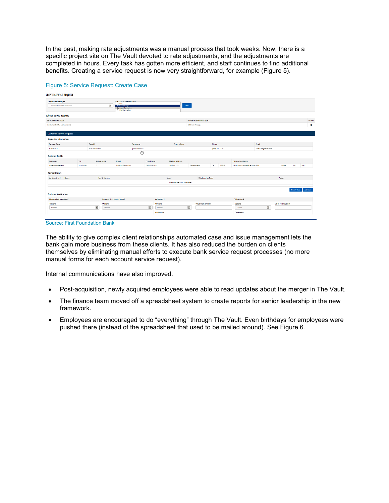<span id="page-6-1"></span>In the past, making rate adjustments was a manual process that took weeks. Now, there is a specific project site on The Vault devoted to rate adjustments, and the adjustments are completed in hours. Every task has gotten more efficient, and staff continues to find additional benefits. Creating a service request is now very straightforward, for example [\(Figure 5\)](#page-6-0).

| <b>CREATE SERVICE REQUEST</b>    |          |                          |                           |                                                                        |              |                                   |       |                            |                          |       |                |                                |                    |                   |             |          |
|----------------------------------|----------|--------------------------|---------------------------|------------------------------------------------------------------------|--------------|-----------------------------------|-------|----------------------------|--------------------------|-------|----------------|--------------------------------|--------------------|-------------------|-------------|----------|
| Service Request Type             |          |                          |                           | <b>Colombia De</b>                                                     |              |                                   |       |                            |                          |       |                |                                |                    |                   |             |          |
| Customer Profile Meintenance     |          |                          | $\overline{\phantom{a}}$  | Choose<br>Address Change<br>Contact Information<br>Profile Information |              |                                   |       | Add                        |                          |       |                |                                |                    |                   |             |          |
| <b>Selected Service Requests</b> |          |                          |                           |                                                                        |              |                                   |       |                            |                          |       |                |                                |                    |                   |             |          |
| Service Request Type             |          |                          |                           |                                                                        |              |                                   |       |                            | Sub Service Request Type |       |                |                                |                    |                   |             | Action   |
| Customer Profile Maintenance     |          |                          |                           |                                                                        |              |                                   |       |                            | Address Change           |       |                |                                |                    |                   |             |          |
| <b>Customer Service Request</b>  |          |                          |                           |                                                                        |              |                                   |       |                            |                          |       |                |                                |                    |                   |             |          |
| <b>Requester Information</b>     |          |                          |                           |                                                                        |              |                                   |       |                            |                          |       |                |                                |                    |                   |             |          |
| <b>Request Date</b>              |          | Case ID                  |                           |                                                                        | Requester    |                                   |       | <b>Branch/Dept</b>         |                          | Phone |                |                                | <b>Braall</b>      |                   |             |          |
| 02/03/2020                       |          | 123744002320             |                           |                                                                        | Jami DeHaven |                                   |       |                            |                          |       | (949) 233-2010 |                                | dehavenor/linc.com |                   |             |          |
| <b>Customer Profile</b>          |          |                          |                           |                                                                        | ₾            |                                   |       |                            |                          |       |                |                                |                    |                   |             |          |
| Customer                         | TIN      |                          | <b>Active Accts</b>       | Email                                                                  |              | <b>Prim Phone</b>                 |       | <b>Mailing Address</b>     |                          |       |                | <b>Primary Residence</b>       |                    |                   |             |          |
| Alice   Wonderland               | 12378456 | $\overline{7}$           |                           | Roeris@FF-Inc.Com                                                      |              | (949)677-1692                     |       | Po Box 123.                | <b>Fantasy Land</b>      | CA.   | 12345          | 18101 Von Karman Ave Suite 750 |                    | Indne             | CA.         | 92612    |
| <b>Administrators</b>            |          |                          |                           |                                                                        |              |                                   |       |                            |                          |       |                |                                |                    |                   |             |          |
| Send An Email<br>Name            |          |                          | <b>Tax ID Number</b>      |                                                                        |              |                                   | Email |                            | <b>Relationship Code</b> |       |                |                                |                    | <b>Action</b>     |             |          |
|                                  |          |                          |                           |                                                                        |              |                                   |       | No Online Admin available! |                          |       |                |                                |                    |                   |             |          |
|                                  |          |                          |                           |                                                                        |              |                                   |       |                            |                          |       |                |                                |                    |                   | Search User | Add User |
| <b>Customer Verification</b>     |          |                          |                           |                                                                        |              |                                   |       |                            |                          |       |                |                                |                    |                   |             |          |
| Who made the request?            |          |                          | How was the request made? |                                                                        |              | Validation 1                      |       |                            |                          |       |                | Validation 2                   |                    |                   |             |          |
| Options                          |          |                          | Options                   |                                                                        |              | <b>Options</b>                    |       |                            | Value from system        |       |                | Options                        |                    | Value from system |             |          |
| Choose                           |          | $\overline{\phantom{a}}$ | Choose                    |                                                                        |              | $\overline{\mathbf{x}}$<br>Choose |       | $\geq$                     |                          |       |                | Choose                         | $\leq$             |                   |             |          |

#### <span id="page-6-0"></span>Figure 5: Service Request: Create Case

Source: First Foundation Bank

The ability to give complex client relationships automated case and issue management lets the bank gain more business from these clients. It has also reduced the burden on clients themselves by eliminating manual efforts to execute bank service request processes (no more manual forms for each account service request).

Internal communications have also improved.

- Post-acquisition, newly acquired employees were able to read updates about the merger in The Vault.
- The finance team moved off a spreadsheet system to create reports for senior leadership in the new framework.
- Employees are encouraged to do "everything" through The Vault. Even birthdays for employees were pushed there (instead of the spreadsheet that used to be mailed around). See [Figure 6.](#page-6-1)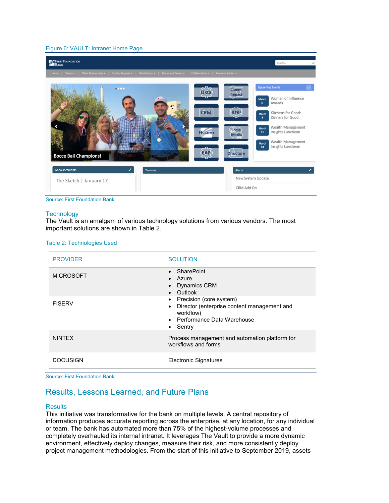#### Figure 6: VAULT: Intranet Home Page



Source: First Foundation Bank

### **Technology**

The Vault is an amalgam of various technology solutions from various vendors. The most important solutions are shown in [Table 2.](#page-7-0)

<span id="page-7-0"></span>

| Table 2: Technologies Used |  |  |
|----------------------------|--|--|
|                            |  |  |

| <b>PROVIDER</b>  | <b>SOLUTION</b>                                                                                                                                                      |
|------------------|----------------------------------------------------------------------------------------------------------------------------------------------------------------------|
| <b>MICROSOFT</b> | • SharePoint<br>$\bullet$ Azure<br><b>Dynamics CRM</b><br>Outlook<br>$\bullet$                                                                                       |
| <b>FISERV</b>    | Precision (core system)<br>$\bullet$<br>Director (enterprise content management and<br>$\bullet$<br>workflow)<br>• Performance Data Warehouse<br>Sentry<br>$\bullet$ |
| <b>NINTFX</b>    | Process management and automation platform for<br>workflows and forms                                                                                                |
| <b>DOCUSIGN</b>  | <b>Electronic Signatures</b>                                                                                                                                         |

Source: First Foundation Bank

# Results, Lessons Learned, and Future Plans

# **Results**

This initiative was transformative for the bank on multiple levels. A central repository of information produces accurate reporting across the enterprise, at any location, for any individual or team. The bank has automated more than 75% of the highest-volume processes and completely overhauled its internal intranet. It leverages The Vault to provide a more dynamic environment, effectively deploy changes, measure their risk, and more consistently deploy project management methodologies. From the start of this initiative to September 2019, assets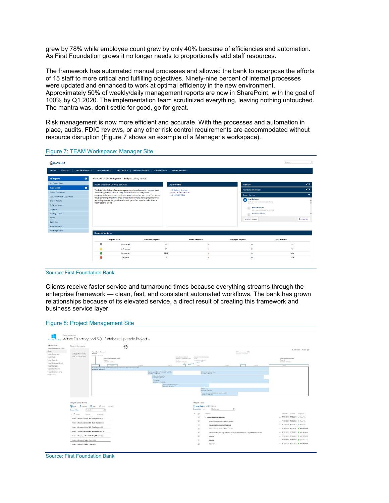grew by 78% while employee count grew by only 40% because of efficiencies and automation. As First Foundation grows it no longer needs to proportionally add staff resources.

The framework has automated manual processes and allowed the bank to repurpose the efforts of 15 staff to more critical and fulfilling objectives. Ninety-nine percent of internal processes were updated and enhanced to work at optimal efficiency in the new environment. Approximately 50% of weekly/daily management reports are now in SharePoint, with the goal of 100% by Q1 2020. The implementation team scrutinized everything, leaving nothing untouched. The mantra was, don't settle for good, go for great.

Risk management is now more efficient and accurate. With the processes and automation in place, audits, FDIC reviews, or any other risk control requirements are accommodated without resource disruption [\(Figure 7](#page-8-0) shows an example of a Manager's workspace).

| <b>D</b> the VAULT                                   |                                                                    |                                                                                                                                                                  |                                              |                          |                                                          | ρ<br>Search.          |
|------------------------------------------------------|--------------------------------------------------------------------|------------------------------------------------------------------------------------------------------------------------------------------------------------------|----------------------------------------------|--------------------------|----------------------------------------------------------|-----------------------|
| Home   DMsions -   Client Relationship -             |                                                                    | Service Request -   Data Center -   Document Center -   Collaboration -   Resource Center -                                                                      |                                              |                          |                                                          |                       |
| ۰<br><b>My Requests</b>                              | Information Systems Management > Enterprise Delivery Services      |                                                                                                                                                                  |                                              |                          |                                                          |                       |
| My Change Tasks                                      | About Enterprise Delivery Services                                 |                                                                                                                                                                  | Departments                                  |                          | Alert (3)                                                | $\rightarrow$         |
| ۰<br><b>Team Central</b>                             |                                                                    | The Enterprise Delivery Team manages enterprise collaboration, content, data,                                                                                    | · BI Delivery Services                       |                          | Announcement (3)                                         | $\rightarrow$         |
| Shared Documents<br><b>Document Center Documents</b> | and core application services. They maintain and build integration | components between those applications and data delivery services. Their area of                                                                                  | · Core Delivery Services<br>· defi SOLUTIONS |                          | <b>Team Roster</b>                                       | $\checkmark$          |
| Shared Reports                                       |                                                                    | focus is creating efficiencies and process improvements, leveraging enterprise<br>technology to scale for growth, and creating a unified experience for internal |                                              |                          | <b>Jami Dellaven</b><br>ω                                |                       |
| <b>BI Center Reports</b>                             | resources and clients.                                             |                                                                                                                                                                  |                                              |                          | SVP. Director of Enterprise Delivery<br>Services         | $\hat{ }$             |
| Calendar                                             |                                                                    |                                                                                                                                                                  |                                              |                          | <b>Jeanifer Morrell</b><br>Core Business Systems Analyst |                       |
| Meeting Central                                      |                                                                    |                                                                                                                                                                  |                                              |                          | Shennon Goeken<br>$-1$                                   |                       |
| Forms:                                               |                                                                    |                                                                                                                                                                  |                                              |                          | <b>And Continued And Con-</b><br><b>III</b> More Details | Q Directory           |
| Quick links                                          |                                                                    |                                                                                                                                                                  |                                              |                          |                                                          |                       |
| All Project Tasks                                    |                                                                    |                                                                                                                                                                  |                                              |                          |                                                          |                       |
| All Change Tasks                                     | <b>Requests Statistics</b>                                         |                                                                                                                                                                  |                                              |                          |                                                          |                       |
|                                                      |                                                                    |                                                                                                                                                                  |                                              |                          |                                                          |                       |
|                                                      | <b>Roquest Status</b>                                              | <b>Customer Requests</b>                                                                                                                                         |                                              | <b>Internal Requests</b> | <b>Employee Requests</b>                                 | <b>Total Requests</b> |
|                                                      | ٠                                                                  | Not started.                                                                                                                                                     | 22                                           | $\alpha$                 | $\bullet$                                                | 22                    |
|                                                      |                                                                    | In Progress                                                                                                                                                      | 17 <sub>17</sub>                             | $\alpha$                 | $\bullet$                                                | 17                    |
|                                                      |                                                                    | Completed                                                                                                                                                        | 2606                                         | $\circ$                  | $\bullet$                                                | 2606                  |
|                                                      |                                                                    | Rejected                                                                                                                                                         | 129                                          | $\circ$                  | $\bullet$                                                | 129                   |
|                                                      |                                                                    |                                                                                                                                                                  |                                              |                          |                                                          |                       |

#### <span id="page-8-0"></span>Figure 7: TEAM Workspace: Manager Site

Source: First Foundation Bank

Clients receive faster service and turnaround times because everything streams through the enterprise framework — clean, fast, and consistent automated workflows. The bank has grown relationships because of its elevated service, a direct result of creating this framework and business service layer.



#### Figure 8: Project Management Site

Source: First Foundation Bank